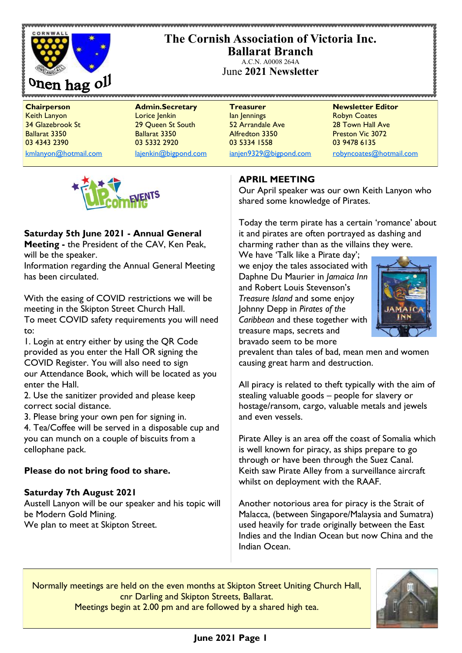

## **The Cornish Association of Victoria Inc. Ballarat Branch**

A.C.N. A0008 264A June **2021 Newsletter**

**Chairperson Admin.Secretary Treasurer Newsletter Editor** Keith Lanyon Lorice Jenkin Ian Jennings Robyn Coates 34 Glazebrook St 29 Queen St South 52 Arrandale Ave 28 Town Hall Ave Ballarat 3350 Ballarat 3350 Alfredton 3350 Preston Vic 3072 03 4343 2390 03 5332 2920 03 5334 1558 03 9478 6135

[kmlanyon@hotmail.com](mailto:kmlanyon@hotmail.com) [lajenkin@bigpond.com](mailto:lajenkin@bigpond.com) [ianjen9329@bigpond.com](mailto:ianjen9329@bigpond.com) [robyncoates@hotmail.com](mailto:robynjcoates@iinet.net.au)



## **Saturday 5th June 2021 - Annual General**

**Meeting -** the President of the CAV, Ken Peak, will be the speaker.

Information regarding the Annual General Meeting has been circulated.

With the easing of COVID restrictions we will be meeting in the Skipton Street Church Hall. To meet COVID safety requirements you will need to:

1. Login at entry either by using the QR Code provided as you enter the Hall OR signing the COVID Register. You will also need to sign our Attendance Book, which will be located as you enter the Hall.

2. Use the sanitizer provided and please keep correct social distance.

3. Please bring your own pen for signing in.

4. Tea/Coffee will be served in a disposable cup and you can munch on a couple of biscuits from a cellophane pack.

## **Please do not bring food to share.**

## **Saturday 7th August 2021**

Austell Lanyon will be our speaker and his topic will be Modern Gold Mining. We plan to meet at Skipton Street.

## **APRIL MEETING**

Our April speaker was our own Keith Lanyon who shared some knowledge of Pirates.

Today the term pirate has a certain 'romance' about it and pirates are often portrayed as dashing and charming rather than as the villains they were.

We have 'Talk like a Pirate day'; we enjoy the tales associated with Daphne Du Maurier in *Jamaica Inn*  and Robert Louis Stevenson's *Treasure Island* and some enjoy Johnny Depp in *Pirates of the Caribbean* and these together with treasure maps, secrets and bravado seem to be more



prevalent than tales of bad, mean men and women causing great harm and destruction.

All piracy is related to theft typically with the aim of stealing valuable goods – people for slavery or hostage/ransom, cargo, valuable metals and jewels and even vessels.

Pirate Alley is an area off the coast of Somalia which is well known for piracy, as ships prepare to go through or have been through the Suez Canal. Keith saw Pirate Alley from a surveillance aircraft whilst on deployment with the RAAF.

Another notorious area for piracy is the Strait of Malacca, (between Singapore/Malaysia and Sumatra) used heavily for trade originally between the East Indies and the Indian Ocean but now China and the Indian Ocean.

Normally meetings are held on the even months at Skipton Street Uniting Church Hall, cnr Darling and Skipton Streets, Ballarat. Meetings begin at 2.00 pm and are followed by a shared high tea.

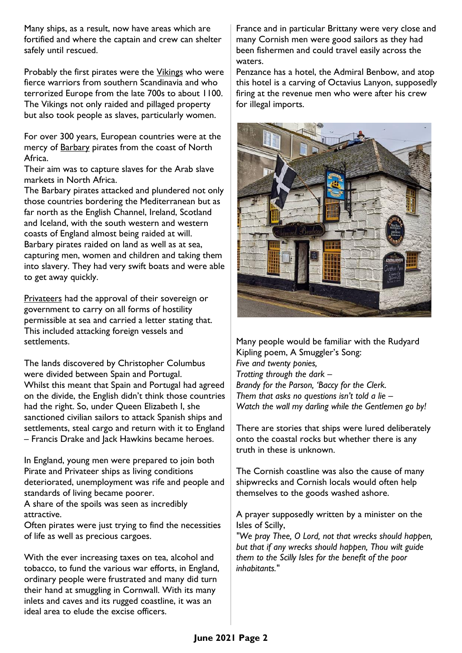Many ships, as a result, now have areas which are fortified and where the captain and crew can shelter safely until rescued.

Probably the first pirates were the *Vikings* who were fierce warriors from southern Scandinavia and who terrorized Europe from the late 700s to about 1100. The Vikings not only raided and pillaged property but also took people as slaves, particularly women.

For over 300 years, European countries were at the mercy of **Barbary** pirates from the coast of North Africa.

Their aim was to capture slaves for the Arab slave markets in North Africa.

The Barbary pirates attacked and plundered not only those countries bordering the Mediterranean but as far north as the English Channel, Ireland, Scotland and Iceland, with the south western and western coasts of England almost being raided at will. Barbary pirates raided on land as well as at sea, capturing men, women and children and taking them into slavery. They had very swift boats and were able to get away quickly.

Privateers had the approval of their sovereign or government to carry on all forms of hostility permissible at sea and carried a letter stating that. This included attacking foreign vessels and settlements.

The lands discovered by Christopher Columbus were divided between Spain and Portugal. Whilst this meant that Spain and Portugal had agreed on the divide, the English didn't think those countries had the right. So, under Queen Elizabeth I, she sanctioned civilian sailors to attack Spanish ships and settlements, steal cargo and return with it to England – Francis Drake and Jack Hawkins became heroes.

In England, young men were prepared to join both Pirate and Privateer ships as living conditions deteriorated, unemployment was rife and people and standards of living became poorer.

A share of the spoils was seen as incredibly attractive.

Often pirates were just trying to find the necessities of life as well as precious cargoes.

With the ever increasing taxes on tea, alcohol and tobacco, to fund the various war efforts, in England, ordinary people were frustrated and many did turn their hand at smuggling in Cornwall. With its many inlets and caves and its rugged coastline, it was an ideal area to elude the excise officers.

France and in particular Brittany were very close and many Cornish men were good sailors as they had been fishermen and could travel easily across the waters.

Penzance has a hotel, the Admiral Benbow, and atop this hotel is a carving of Octavius Lanyon, supposedly firing at the revenue men who were after his crew for illegal imports.



Many people would be familiar with the Rudyard Kipling poem, A Smuggler's Song: *Five and twenty ponies, Trotting through the dark – Brandy for the Parson, 'Baccy for the Clerk. Them that asks no questions isn't told a lie – Watch the wall my darling while the Gentlemen go by!*

There are stories that ships were lured deliberately onto the coastal rocks but whether there is any truth in these is unknown.

The Cornish coastline was also the cause of many shipwrecks and Cornish locals would often help themselves to the goods washed ashore.

A prayer supposedly written by a minister on the Isles of Scilly,

*"We pray Thee, O Lord, not that wrecks should happen, but that if any wrecks should happen, Thou wilt guide them to the Scilly Isles for the benefit of the poor inhabitants."*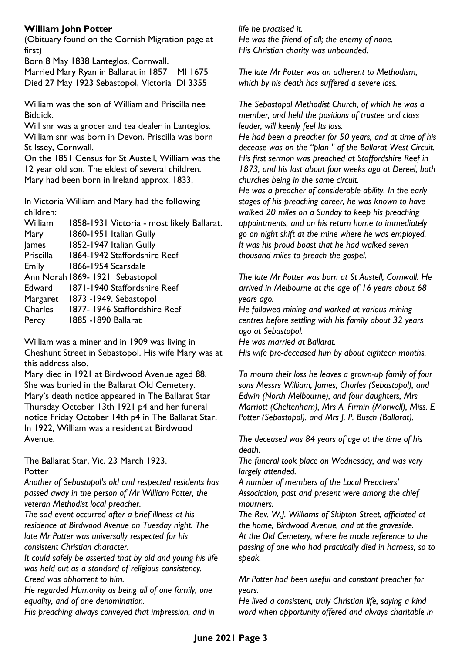## **William John Potter**

(Obituary found on the Cornish Migration page at first)

Born 8 May 1838 Lanteglos, Cornwall. Married Mary Ryan in Ballarat in 1857 MI 1675 Died 27 May 1923 Sebastopol, Victoria DI 3355

William was the son of William and Priscilla nee Biddick.

Will snr was a grocer and tea dealer in Lanteglos. William snr was born in Devon. Priscilla was born St Issey, Cornwall.

On the 1851 Census for St Austell, William was the 12 year old son. The eldest of several children. Mary had been born in Ireland approx. 1833.

In Victoria William and Mary had the following children:

| William   | 1858-1931 Victoria - most likely Ballarat. |
|-----------|--------------------------------------------|
| Mary      | 1860-1951 Italian Gully                    |
| James     | 1852-1947 Italian Gully                    |
| Priscilla | 1864-1942 Staffordshire Reef               |
| Emily     | 1866-1954 Scarsdale                        |
|           | Ann Norah 1869-1921 Sebastopol             |
| Edward    | 1871-1940 Staffordshire Reef               |
| Margaret  | 1873 - 1949. Sebastopol                    |
| Charles   | 1877-1946 Staffordshire Reef               |
| Percy     | 1885 - 1890 Ballarat                       |
|           |                                            |

William was a miner and in 1909 was living in Cheshunt Street in Sebastopol. His wife Mary was at this address also.

Mary died in 1921 at Birdwood Avenue aged 88. She was buried in the Ballarat Old Cemetery. Mary's death notice appeared in The Ballarat Star Thursday October 13th 1921 p4 and her funeral notice Friday October 14th p4 in The Ballarat Star. In 1922, William was a resident at Birdwood Avenue.

The Ballarat Star, Vic. 23 March 1923. **Potter** 

*Another of Sebastopol's old and respected residents has passed away in the person of Mr William Potter, the veteran Methodist local preacher.* 

*The sad event occurred after a brief illness at his residence at Birdwood Avenue on Tuesday night. The late Mr Potter was universally respected for his consistent Christian character.* 

*It could safely be asserted that by old and young his life was held out as a standard of religious consistency. Creed was abhorrent to him.* 

*He regarded Humanity as being all of one family, one equality, and of one denomination.* 

*His preaching always conveyed that impression, and in* 

*life he practised it. He was the friend of all; the enemy of none. His Christian charity was unbounded.* 

*The late Mr Potter was an adherent to Methodism,* 

*which by his death has suffered a severe loss.* 

*The Sebastopol Methodist Church, of which he was a member, and held the positions of trustee and class leader, will keenly feel Its loss.* 

*He had been a preacher for 50 years, and at time of his decease was on the "plan " of the Ballarat West Circuit. His first sermon was preached at Staffordshire Reef in 1873, and his last about four weeks ago at Dereel, both churches being in the same circuit.* 

*He was a preacher of considerable ability. In the early stages of his preaching career, he was known to have walked 20 miles on a Sunday to keep his preaching appointments, and on his return home to immediately go on night shift at the mine where he was employed. It was his proud boast that he had walked seven thousand miles to preach the gospel.* 

*The late Mr Potter was born at St Austell, Cornwall. He arrived in Melbourne at the age of 16 years about 68 years ago.* 

*He followed mining and worked at various mining centres before settling with his family about 32 years ago at Sebastopol.* 

*He was married at Ballarat.* 

*His wife pre-deceased him by about eighteen months.* 

*To mourn their loss he leaves a grown-up family of four sons Messrs William, James, Charles (Sebastopol), and Edwin (North Melbourne), and four daughters, Mrs Marriott (Cheltenham), Mrs A. Firmin (Morwell), Miss. E Potter (Sebastopol). and Mrs J. P. Busch (Ballarat).* 

*The deceased was 84 years of age at the time of his death.* 

*The funeral took place on Wednesday, and was very largely attended.* 

*A number of members of the Local Preachers' Association, past and present were among the chief mourners.* 

*The Rev. W.J. Williams of Skipton Street, officiated at the home, Birdwood Avenue, and at the graveside. At the Old Cemetery, where he made reference to the passing of one who had practically died in harness, so to speak.* 

*Mr Potter had been useful and constant preacher for years.* 

*He lived a consistent, truly Christian life, saying a kind word when opportunity offered and always charitable in*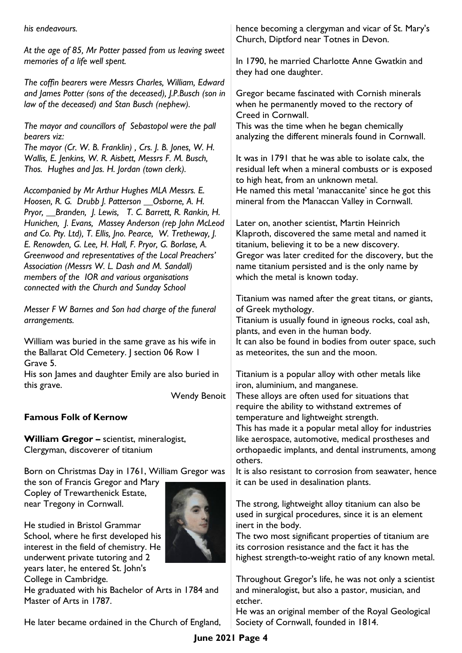*his endeavours.* 

*At the age of 85, Mr Potter passed from us leaving sweet memories of a life well spent.* 

*The coffin bearers were Messrs Charles, William, Edward and James Potter (sons of the deceased), J.P.Busch (son in law of the deceased) and Stan Busch (nephew).* 

*The mayor and councillors of Sebastopol were the pall bearers viz:* 

*The mayor (Cr. W. B. Franklin) , Crs. J. B. Jones, W. H. Wallis, E. Jenkins, W. R. Aisbett, Messrs F. M. Busch, Thos. Hughes and Jas. H. Jordan (town clerk).*

*Accompanied by Mr Arthur Hughes MLA Messrs. E. Hoosen, R. G. Drubb J. Patterson \_\_Osborne, A. H. Pryor, \_\_Branden, J. Lewis, T. C. Barrett, R. Rankin, H. Hunichen, J. Evans, Massey Anderson (rep John McLeod and Co. Pty. Ltd), T. Ellis, Jno. Pearce, W. Tretheway, J. E. Renowden, G. Lee, H. Hall, F. Pryor, G. Borlase, A. Greenwood and representatives of the Local Preachers' Association (Messrs W. L. Dash and M. Sandall) members of the IOR and various organisations connected with the Church and Sunday School*

*Messer F W Barnes and Son had charge of the funeral arrangements.*

William was buried in the same grave as his wife in the Ballarat Old Cemetery. J section 06 Row 1 Grave 5.

His son James and daughter Emily are also buried in this grave.

Wendy Benoit

## **Famous Folk of Kernow**

**William Gregor –** scientist, mineralogist, Clergyman, discoverer of titanium

Born on Christmas Day in 1761, William Gregor was

the son of Francis Gregor and Mary Copley of Trewarthenick Estate, near Tregony in Cornwall.



He studied in Bristol Grammar School, where he first developed his interest in the field of chemistry. He underwent private tutoring and 2 years later, he entered St. John's College in Cambridge.

He graduated with his Bachelor of Arts in 1784 and Master of Arts in 1787.

He later became ordained in the Church of England,

hence becoming a clergyman and vicar of St. Mary's Church, Diptford near Totnes in Devon.

In 1790, he married Charlotte Anne Gwatkin and they had one daughter.

Gregor became fascinated with Cornish minerals when he permanently moved to the rectory of Creed in Cornwall.

This was the time when he began chemically analyzing the different minerals found in Cornwall.

It was in 1791 that he was able to isolate calx, the residual left when a mineral combusts or is exposed to high heat, from an unknown metal. He named this metal 'manaccanite' since he got this mineral from the Manaccan Valley in Cornwall.

Later on, another scientist, Martin Heinrich Klaproth, discovered the same metal and named it titanium, believing it to be a new discovery. Gregor was later credited for the discovery, but the name titanium persisted and is the only name by which the metal is known today.

Titanium was named after the great titans, or giants, of Greek mythology.

Titanium is usually found in igneous rocks, coal ash, plants, and even in the human body.

It can also be found in bodies from outer space, such as meteorites, the sun and the moon.

Titanium is a popular alloy with other metals like iron, aluminium, and manganese.

These alloys are often used for situations that require the ability to withstand extremes of temperature and lightweight strength.

This has made it a popular metal alloy for industries like aerospace, automotive, medical prostheses and orthopaedic implants, and dental instruments, among others.

It is also resistant to corrosion from seawater, hence it can be used in desalination plants.

The strong, lightweight alloy titanium can also be used in surgical procedures, since it is an element inert in the body.

The two most significant properties of titanium are its corrosion resistance and the fact it has the highest strength-to-weight ratio of any known metal.

Throughout Gregor's life, he was not only a scientist and mineralogist, but also a pastor, musician, and etcher.

He was an original member of the Royal Geological Society of Cornwall, founded in 1814.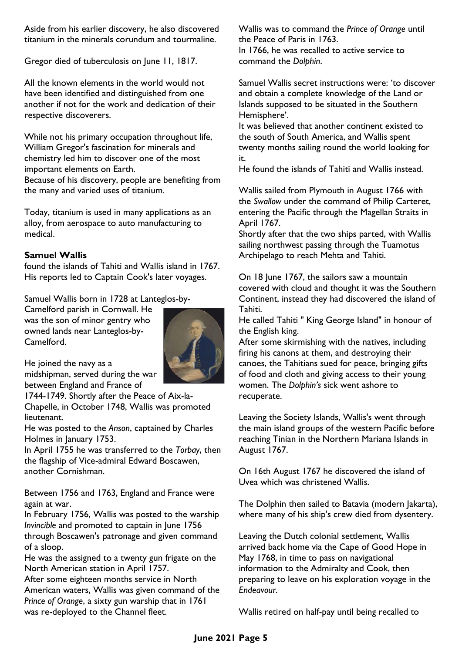Aside from his earlier discovery, he also discovered titanium in the minerals corundum and tourmaline.

Gregor died of tuberculosis on June 11, 1817.

All the known elements in the world would not have been identified and distinguished from one another if not for the work and dedication of their respective discoverers.

While not his primary occupation throughout life, William Gregor's fascination for minerals and chemistry led him to discover one of the most important elements on Earth.

Because of his discovery, people are benefiting from the many and varied uses of titanium.

Today, titanium is used in many applications as an alloy, from aerospace to auto manufacturing to medical.

### **Samuel Wallis**

found the islands of Tahiti and Wallis island in 1767. His reports led to Captain Cook's later voyages.

Samuel Wallis born in 1728 at Lanteglos-by-

Camelford parish in Cornwall. He was the son of minor gentry who owned lands near Lanteglos-by-Camelford.



He joined the navy as a midshipman, served during the war between England and France of

1744-1749. Shortly after the Peace of Aix-la-Chapelle, in October 1748, Wallis was promoted lieutenant.

He was posted to the *Anson*, captained by Charles Holmes in January 1753.

In April 1755 he was transferred to the *Torbay*, then the flagship of Vice-admiral Edward Boscawen, another Cornishman.

Between 1756 and 1763, England and France were again at war.

In February 1756, Wallis was posted to the warship *Invincible* and promoted to captain in June 1756 through Boscawen's patronage and given command of a sloop.

He was the assigned to a twenty gun frigate on the North American station in April 1757.

After some eighteen months service in North American waters, Wallis was given command of the *Prince of Orange*, a sixty gun warship that in 1761 was re-deployed to the Channel fleet.

Wallis was to command the *Prince of Orange* until the Peace of Paris in 1763.

In 1766, he was recalled to active service to command the *Dolphin*.

Samuel Wallis secret instructions were: 'to discover and obtain a complete knowledge of the Land or Islands supposed to be situated in the Southern Hemisphere'.

It was believed that another continent existed to the south of South America, and Wallis spent twenty months sailing round the world looking for it.

He found the islands of Tahiti and Wallis instead.

Wallis sailed from Plymouth in August 1766 with the *Swallow* under the command of Philip Carteret, entering the Pacific through the Magellan Straits in April 1767.

Shortly after that the two ships parted, with Wallis sailing northwest passing through the Tuamotus Archipelago to reach Mehta and Tahiti.

On 18 June 1767, the sailors saw a mountain covered with cloud and thought it was the Southern Continent, instead they had discovered the island of Tahiti.

He called Tahiti " King George Island" in honour of the English king.

After some skirmishing with the natives, including firing his canons at them, and destroying their canoes, the Tahitians sued for peace, bringing gifts of food and cloth and giving access to their young women. The *Dolphin's* sick went ashore to recuperate.

Leaving the Society Islands, Wallis's went through the main island groups of the western Pacific before reaching Tinian in the Northern Mariana Islands in August 1767.

On 16th August 1767 he discovered the island of Uvea which was christened Wallis.

The Dolphin then sailed to Batavia (modern Jakarta), where many of his ship's crew died from dysentery.

Leaving the Dutch colonial settlement, Wallis arrived back home via the Cape of Good Hope in May 1768, in time to pass on navigational information to the Admiralty and Cook, then preparing to leave on his exploration voyage in the *Endeavour*.

Wallis retired on half-pay until being recalled to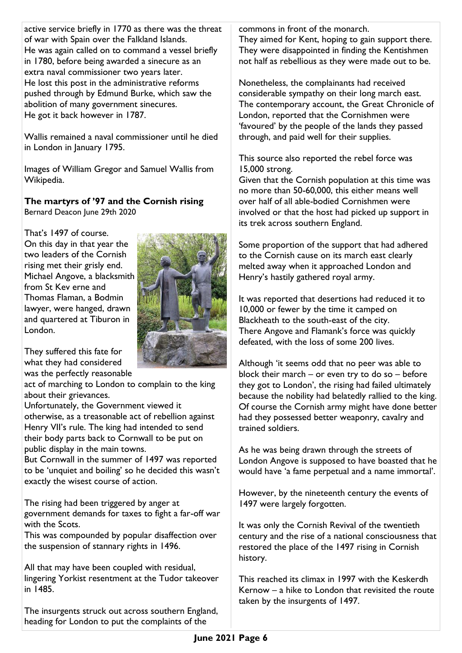active service briefly in 1770 as there was the threat of war with Spain over the Falkland Islands. He was again called on to command a vessel briefly in 1780, before being awarded a sinecure as an extra naval commissioner two years later. He lost this post in the administrative reforms pushed through by Edmund Burke, which saw the abolition of many government sinecures. He got it back however in 1787.

Wallis remained a naval commissioner until he died in London in January 1795.

Images of William Gregor and Samuel Wallis from Wikipedia.

## **The martyrs of '97 and the Cornish rising**

Bernard Deacon June 29th 2020

That's 1497 of course. On this day in that year the two leaders of the Cornish rising met their grisly end. Michael Angove, a blacksmith from St Kev erne and Thomas Flaman, a Bodmin lawyer, were hanged, drawn and quartered at Tiburon in London.



They suffered this fate for what they had considered was the perfectly reasonable

act of marching to London to complain to the king about their grievances.

Unfortunately, the Government viewed it otherwise, as a treasonable act of rebellion against Henry VII's rule. The king had intended to send their body parts back to Cornwall to be put on public display in the main towns.

But Cornwall in the summer of 1497 was reported to be 'unquiet and boiling' so he decided this wasn't exactly the wisest course of action.

The rising had been triggered by anger at government demands for taxes to fight a far-off war with the Scots.

This was compounded by popular disaffection over the suspension of stannary rights in 1496.

All that may have been coupled with residual, lingering Yorkist resentment at the Tudor takeover in 1485.

The insurgents struck out across southern England, heading for London to put the complaints of the

commons in front of the monarch.

They aimed for Kent, hoping to gain support there. They were disappointed in finding the Kentishmen not half as rebellious as they were made out to be.

Nonetheless, the complainants had received considerable sympathy on their long march east. The contemporary account, the Great Chronicle of London, reported that the Cornishmen were 'favoured' by the people of the lands they passed through, and paid well for their supplies.

This source also reported the rebel force was 15,000 strong.

Given that the Cornish population at this time was no more than 50-60,000, this either means well over half of all able-bodied Cornishmen were involved or that the host had picked up support in its trek across southern England.

Some proportion of the support that had adhered to the Cornish cause on its march east clearly melted away when it approached London and Henry's hastily gathered royal army.

It was reported that desertions had reduced it to 10,000 or fewer by the time it camped on Blackheath to the south-east of the city. There Angove and Flamank's force was quickly defeated, with the loss of some 200 lives.

Although 'it seems odd that no peer was able to block their march – or even try to do so – before they got to London', the rising had failed ultimately because the nobility had belatedly rallied to the king. Of course the Cornish army might have done better had they possessed better weaponry, cavalry and trained soldiers.

As he was being drawn through the streets of London Angove is supposed to have boasted that he would have 'a fame perpetual and a name immortal'.

However, by the nineteenth century the events of 1497 were largely forgotten.

It was only the Cornish Revival of the twentieth century and the rise of a national consciousness that restored the place of the 1497 rising in Cornish history.

This reached its climax in 1997 with the Keskerdh Kernow – a hike to London that revisited the route taken by the insurgents of 1497.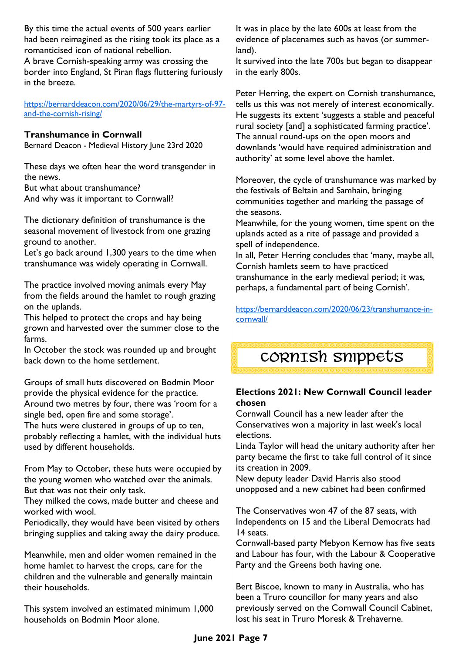By this time the actual events of 500 years earlier had been reimagined as the rising took its place as a romanticised icon of national rebellion. A brave Cornish-speaking army was crossing the border into England, St Piran flags fluttering furiously in the breeze.

[https://bernarddeacon.com/2020/06/29/the-martyrs-of-97](https://bernarddeacon.com/2020/06/29/the-martyrs-of-97-and-the-cornish-rising/) [and-the-cornish-rising/](https://bernarddeacon.com/2020/06/29/the-martyrs-of-97-and-the-cornish-rising/)

#### **Transhumance in Cornwall**

Bernard Deacon - Medieval History June 23rd 2020

These days we often hear the word transgender in the news.

But what about transhumance? And why was it important to Cornwall?

The dictionary definition of transhumance is the seasonal movement of livestock from one grazing ground to another.

Let's go back around 1,300 years to the time when transhumance was widely operating in Cornwall.

The practice involved moving animals every May from the fields around the hamlet to rough grazing on the uplands.

This helped to protect the crops and hay being grown and harvested over the summer close to the farms.

In October the stock was rounded up and brought back down to the home settlement.

Groups of small huts discovered on Bodmin Moor provide the physical evidence for the practice. Around two metres by four, there was 'room for a single bed, open fire and some storage'.

The huts were clustered in groups of up to ten, probably reflecting a hamlet, with the individual huts used by different households.

From May to October, these huts were occupied by the young women who watched over the animals. But that was not their only task.

They milked the cows, made butter and cheese and worked with wool.

Periodically, they would have been visited by others bringing supplies and taking away the dairy produce.

Meanwhile, men and older women remained in the home hamlet to harvest the crops, care for the children and the vulnerable and generally maintain their households.

This system involved an estimated minimum 1,000 households on Bodmin Moor alone.

It was in place by the late 600s at least from the evidence of placenames such as havos (or summerland).

It survived into the late 700s but began to disappear in the early 800s.

Peter Herring, the expert on Cornish transhumance, tells us this was not merely of interest economically. He suggests its extent 'suggests a stable and peaceful rural society [and] a sophisticated farming practice'. The annual round-ups on the open moors and downlands 'would have required administration and authority' at some level above the hamlet.

Moreover, the cycle of transhumance was marked by the festivals of Beltain and Samhain, bringing communities together and marking the passage of the seasons.

Meanwhile, for the young women, time spent on the uplands acted as a rite of passage and provided a spell of independence.

In all, Peter Herring concludes that 'many, maybe all, Cornish hamlets seem to have practiced transhumance in the early medieval period; it was, perhaps, a fundamental part of being Cornish'.

[https://bernarddeacon.com/2020/06/23/transhumance-in](https://bernarddeacon.com/2020/06/23/transhumance-in-cornwall/)[cornwall/](https://bernarddeacon.com/2020/06/23/transhumance-in-cornwall/)

CORNISH snippets

# **Elections 2021: New Cornwall Council leader**

#### **chosen** Cornwall Council has a new leader after the Conservatives won a majority in last week's local

elections. Linda Taylor will head the unitary authority after her

party became the first to take full control of it since its creation in 2009.

New deputy leader David Harris also stood unopposed and a new cabinet had been confirmed

The Conservatives won 47 of the 87 seats, with Independents on 15 and the Liberal Democrats had 14 seats.

Cornwall-based party Mebyon Kernow has five seats and Labour has four, with the Labour & Cooperative Party and the Greens both having one.

Bert Biscoe, known to many in Australia, who has been a Truro councillor for many years and also previously served on the Cornwall Council Cabinet, lost his seat in Truro Moresk & Trehaverne.